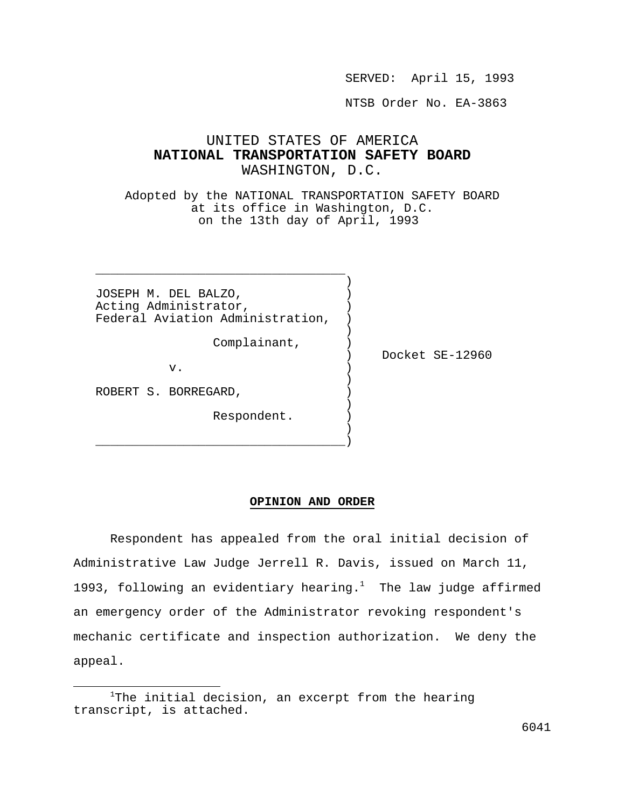SERVED: April 15, 1993

NTSB Order No. EA-3863

## UNITED STATES OF AMERICA **NATIONAL TRANSPORTATION SAFETY BOARD** WASHINGTON, D.C.

Adopted by the NATIONAL TRANSPORTATION SAFETY BOARD at its office in Washington, D.C. on the 13th day of April, 1993

JOSEPH M. DEL BALZO,  $)$ Acting Administrator, Federal Aviation Administration, )

) and the contract of  $\mathcal{L}$ 

) and the contract of  $\mathcal{L}$ 

) and the contract of  $\mathcal{L}$ \_\_\_\_\_\_\_\_\_\_\_\_\_\_\_\_\_\_\_\_\_\_\_\_\_\_\_\_\_\_\_\_\_\_)

 $\overline{\phantom{a}}$  , and the contract of the contract of the contract of the contract of the contract of the contract of the contract of the contract of the contract of the contract of the contract of the contract of the contrac ) and the contract of  $\mathcal{L}$ 

Complainant, )

 $\mathbf v$  .  $\qquad \qquad \qquad$  )

) Docket SE-12960

) and the contract of  $\mathcal{L}$ ROBERT S. BORREGARD,

Respondent. )

## **OPINION AND ORDER**

Respondent has appealed from the oral initial decision of Administrative Law Judge Jerrell R. Davis, issued on March 11, 1993, following an evidentiary hearing.<sup>1</sup> The law judge affirmed an emergency order of the Administrator revoking respondent's mechanic certificate and inspection authorization. We deny the appeal.

 $1$ The initial decision, an excerpt from the hearing transcript, is attached.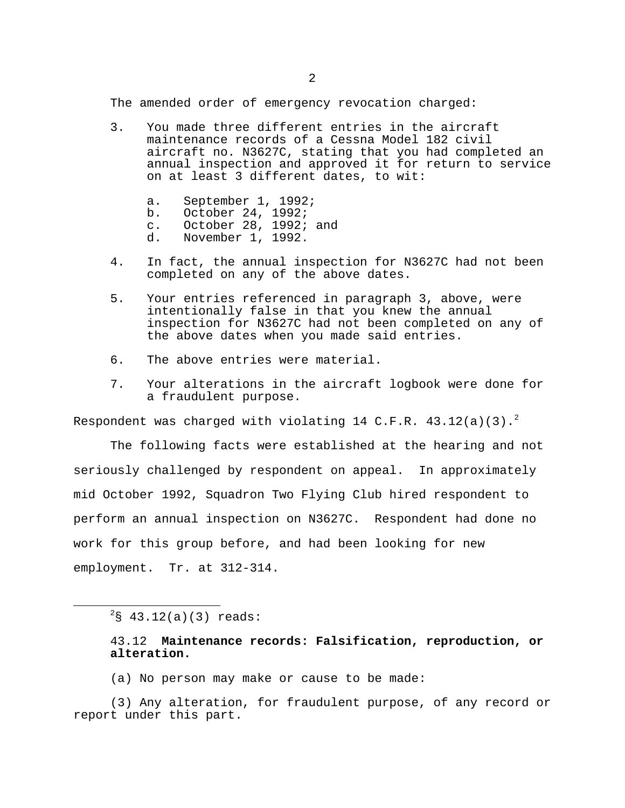The amended order of emergency revocation charged:

- 3. You made three different entries in the aircraft maintenance records of a Cessna Model 182 civil aircraft no. N3627C, stating that you had completed an annual inspection and approved it for return to service on at least 3 different dates, to wit:
	- a. September 1, 1992; b. October 24, 1992; c. October 28, 1992; and
	- d. November 1, 1992.
- 4. In fact, the annual inspection for N3627C had not been completed on any of the above dates.
- 5. Your entries referenced in paragraph 3, above, were intentionally false in that you knew the annual inspection for N3627C had not been completed on any of the above dates when you made said entries.
- 6. The above entries were material.
- 7. Your alterations in the aircraft logbook were done for a fraudulent purpose.

Respondent was charged with violating 14 C.F.R.  $43.12(a)(3).^{2}$ 

The following facts were established at the hearing and not seriously challenged by respondent on appeal. In approximately mid October 1992, Squadron Two Flying Club hired respondent to perform an annual inspection on N3627C. Respondent had done no work for this group before, and had been looking for new employment. Tr. at 312-314.

(a) No person may make or cause to be made:

(3) Any alteration, for fraudulent purpose, of any record or report under this part.

 $2$ § 43.12(a)(3) reads:

<sup>43.12</sup> **Maintenance records: Falsification, reproduction, or alteration.**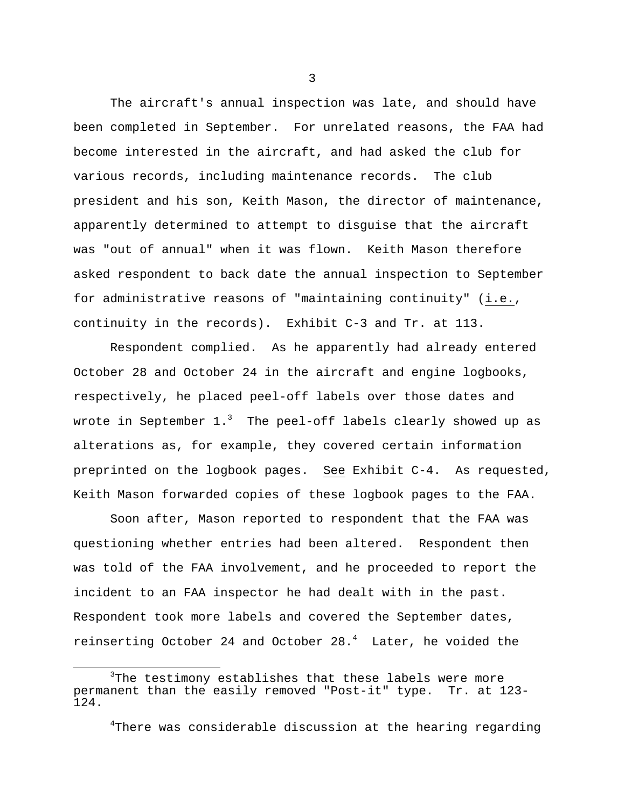The aircraft's annual inspection was late, and should have been completed in September. For unrelated reasons, the FAA had become interested in the aircraft, and had asked the club for various records, including maintenance records. The club president and his son, Keith Mason, the director of maintenance, apparently determined to attempt to disguise that the aircraft was "out of annual" when it was flown. Keith Mason therefore asked respondent to back date the annual inspection to September for administrative reasons of "maintaining continuity" (i.e., continuity in the records). Exhibit C-3 and Tr. at 113.

Respondent complied. As he apparently had already entered October 28 and October 24 in the aircraft and engine logbooks, respectively, he placed peel-off labels over those dates and wrote in September  $1.^3$  The peel-off labels clearly showed up as alterations as, for example, they covered certain information preprinted on the logbook pages. See Exhibit C-4. As requested, Keith Mason forwarded copies of these logbook pages to the FAA.

Soon after, Mason reported to respondent that the FAA was questioning whether entries had been altered. Respondent then was told of the FAA involvement, and he proceeded to report the incident to an FAA inspector he had dealt with in the past. Respondent took more labels and covered the September dates, reinserting October 24 and October  $28.^4$  Later, he voided the

i

<sup>&</sup>lt;sup>3</sup>The testimony establishes that these labels were more permanent than the easily removed "Post-it" type. Tr. at 123- 124.

<sup>4</sup>There was considerable discussion at the hearing regarding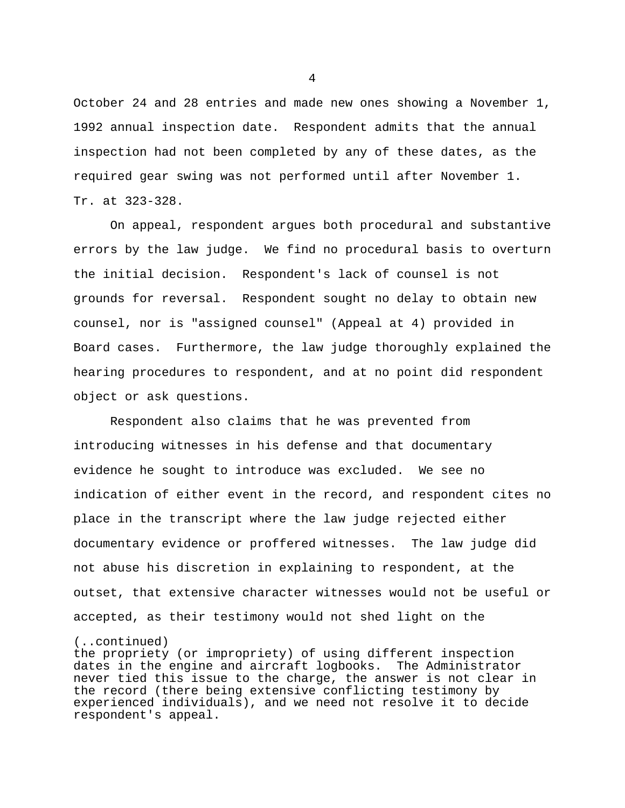October 24 and 28 entries and made new ones showing a November 1, 1992 annual inspection date. Respondent admits that the annual inspection had not been completed by any of these dates, as the required gear swing was not performed until after November 1. Tr. at 323-328.

On appeal, respondent argues both procedural and substantive errors by the law judge. We find no procedural basis to overturn the initial decision. Respondent's lack of counsel is not grounds for reversal. Respondent sought no delay to obtain new counsel, nor is "assigned counsel" (Appeal at 4) provided in Board cases. Furthermore, the law judge thoroughly explained the hearing procedures to respondent, and at no point did respondent object or ask questions.

Respondent also claims that he was prevented from introducing witnesses in his defense and that documentary evidence he sought to introduce was excluded. We see no indication of either event in the record, and respondent cites no place in the transcript where the law judge rejected either documentary evidence or proffered witnesses. The law judge did not abuse his discretion in explaining to respondent, at the outset, that extensive character witnesses would not be useful or accepted, as their testimony would not shed light on the

## (..continued)

the propriety (or impropriety) of using different inspection dates in the engine and aircraft logbooks. The Administrator never tied this issue to the charge, the answer is not clear in the record (there being extensive conflicting testimony by experienced individuals), and we need not resolve it to decide respondent's appeal.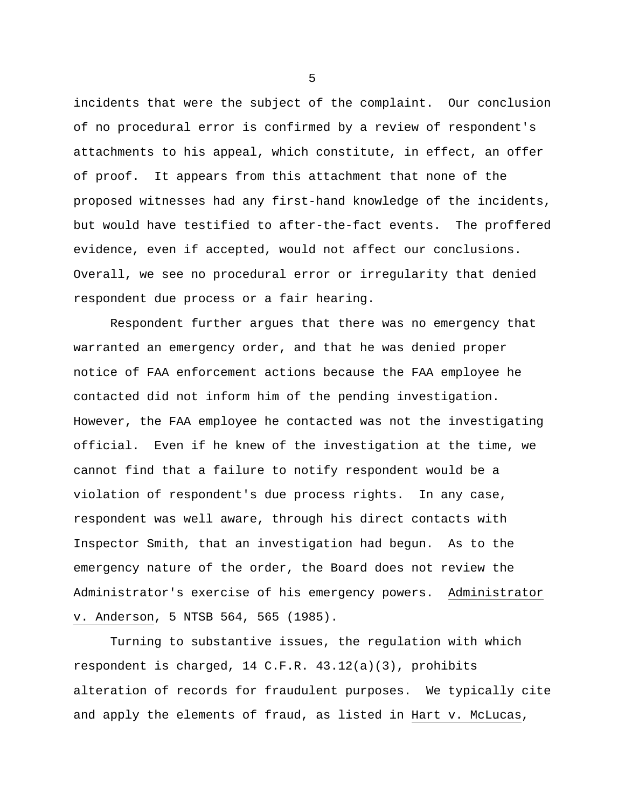incidents that were the subject of the complaint. Our conclusion of no procedural error is confirmed by a review of respondent's attachments to his appeal, which constitute, in effect, an offer of proof. It appears from this attachment that none of the proposed witnesses had any first-hand knowledge of the incidents, but would have testified to after-the-fact events. The proffered evidence, even if accepted, would not affect our conclusions. Overall, we see no procedural error or irregularity that denied respondent due process or a fair hearing.

Respondent further argues that there was no emergency that warranted an emergency order, and that he was denied proper notice of FAA enforcement actions because the FAA employee he contacted did not inform him of the pending investigation. However, the FAA employee he contacted was not the investigating official. Even if he knew of the investigation at the time, we cannot find that a failure to notify respondent would be a violation of respondent's due process rights. In any case, respondent was well aware, through his direct contacts with Inspector Smith, that an investigation had begun. As to the emergency nature of the order, the Board does not review the Administrator's exercise of his emergency powers. Administrator v. Anderson, 5 NTSB 564, 565 (1985).

Turning to substantive issues, the regulation with which respondent is charged, 14 C.F.R. 43.12(a)(3), prohibits alteration of records for fraudulent purposes. We typically cite and apply the elements of fraud, as listed in Hart v. McLucas,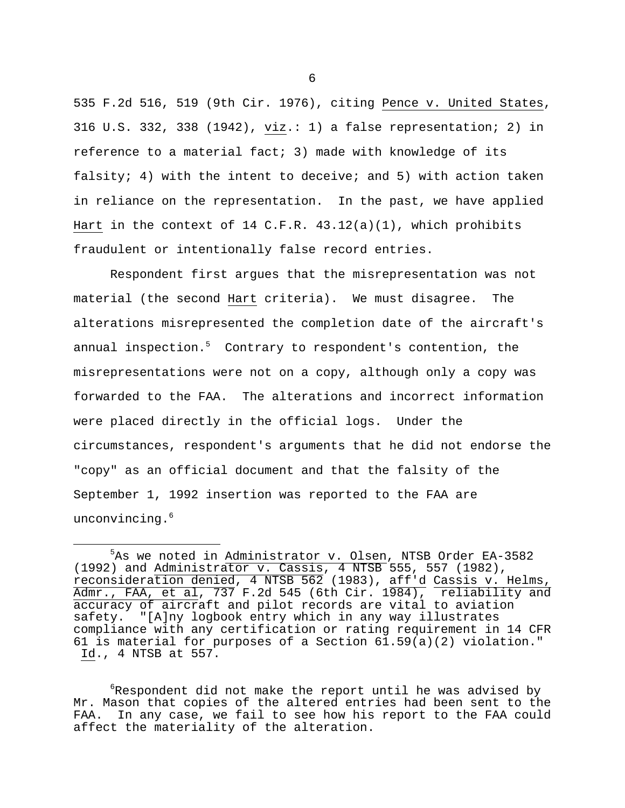535 F.2d 516, 519 (9th Cir. 1976), citing Pence v. United States, 316 U.S. 332, 338 (1942), viz.: 1) a false representation; 2) in reference to a material fact; 3) made with knowledge of its falsity; 4) with the intent to deceive; and 5) with action taken in reliance on the representation. In the past, we have applied Hart in the context of 14 C.F.R.  $43.12(a)(1)$ , which prohibits fraudulent or intentionally false record entries.

Respondent first argues that the misrepresentation was not material (the second Hart criteria). We must disagree. The alterations misrepresented the completion date of the aircraft's annual inspection.<sup>5</sup> Contrary to respondent's contention, the misrepresentations were not on a copy, although only a copy was forwarded to the FAA. The alterations and incorrect information were placed directly in the official logs. Under the circumstances, respondent's arguments that he did not endorse the "copy" as an official document and that the falsity of the September 1, 1992 insertion was reported to the FAA are unconvincing.<sup>6</sup>

i

<sup>5</sup>As we noted in Administrator v. Olsen, NTSB Order EA-3582 (1992) and Administrator v. Cassis, 4 NTSB 555, 557 (1982), reconsideration denied, 4 NTSB 562 (1983), aff'd Cassis v. Helms, Admr., FAA, et al, 737 F.2d 545 (6th Cir. 1984), reliability and accuracy of aircraft and pilot records are vital to aviation safety. "[A]ny logbook entry which in any way illustrates compliance with any certification or rating requirement in 14 CFR 61 is material for purposes of a Section 61.59(a)(2) violation." Id., 4 NTSB at 557.

 $6R$ espondent did not make the report until he was advised by Mr. Mason that copies of the altered entries had been sent to the FAA. In any case, we fail to see how his report to the FAA could affect the materiality of the alteration.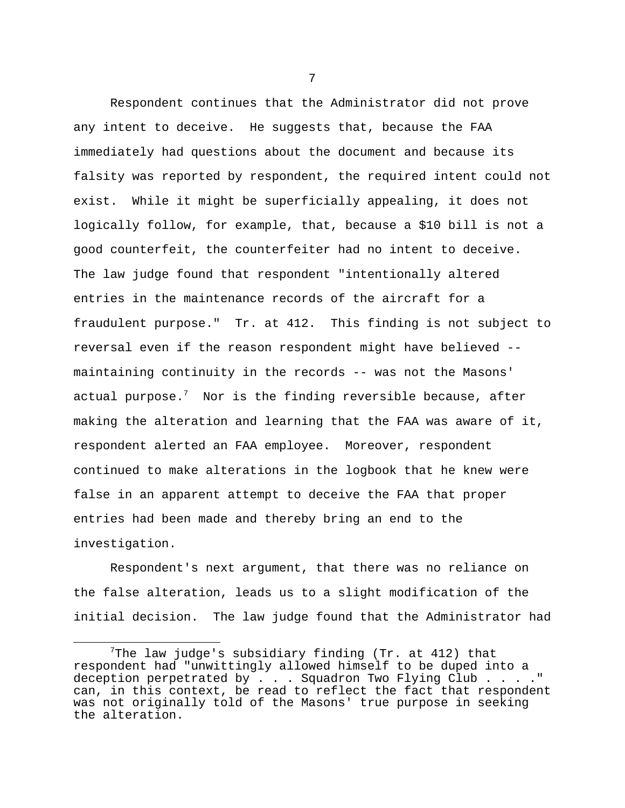Respondent continues that the Administrator did not prove any intent to deceive. He suggests that, because the FAA immediately had questions about the document and because its falsity was reported by respondent, the required intent could not exist. While it might be superficially appealing, it does not logically follow, for example, that, because a \$10 bill is not a good counterfeit, the counterfeiter had no intent to deceive. The law judge found that respondent "intentionally altered entries in the maintenance records of the aircraft for a fraudulent purpose." Tr. at 412. This finding is not subject to reversal even if the reason respondent might have believed - maintaining continuity in the records -- was not the Masons' actual purpose.<sup>7</sup> Nor is the finding reversible because, after making the alteration and learning that the FAA was aware of it, respondent alerted an FAA employee. Moreover, respondent continued to make alterations in the logbook that he knew were false in an apparent attempt to deceive the FAA that proper entries had been made and thereby bring an end to the investigation.

Respondent's next argument, that there was no reliance on the false alteration, leads us to a slight modification of the initial decision. The law judge found that the Administrator had

i

The law judge's subsidiary finding (Tr. at  $412$ ) that respondent had "unwittingly allowed himself to be duped into a deception perpetrated by . . . Squadron Two Flying Club . . . ." can, in this context, be read to reflect the fact that respondent was not originally told of the Masons' true purpose in seeking the alteration.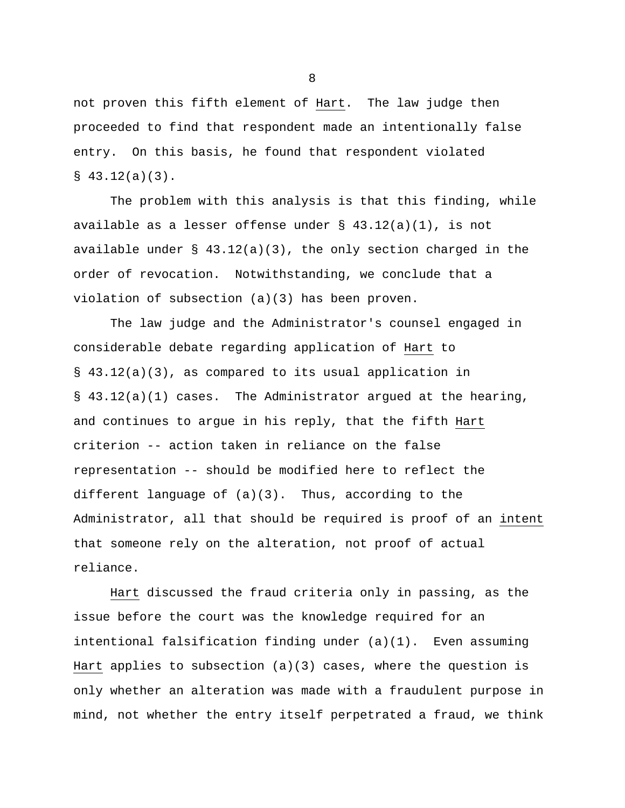not proven this fifth element of Hart. The law judge then proceeded to find that respondent made an intentionally false entry. On this basis, he found that respondent violated  $$43.12(a)(3)$ .

The problem with this analysis is that this finding, while available as a lesser offense under  $\S$  43.12(a)(1), is not available under § 43.12(a)(3), the only section charged in the order of revocation. Notwithstanding, we conclude that a violation of subsection (a)(3) has been proven.

The law judge and the Administrator's counsel engaged in considerable debate regarding application of Hart to § 43.12(a)(3), as compared to its usual application in § 43.12(a)(1) cases. The Administrator argued at the hearing, and continues to argue in his reply, that the fifth Hart criterion -- action taken in reliance on the false representation -- should be modified here to reflect the different language of (a)(3). Thus, according to the Administrator, all that should be required is proof of an intent that someone rely on the alteration, not proof of actual reliance.

Hart discussed the fraud criteria only in passing, as the issue before the court was the knowledge required for an intentional falsification finding under (a)(1). Even assuming Hart applies to subsection  $(a)(3)$  cases, where the question is only whether an alteration was made with a fraudulent purpose in mind, not whether the entry itself perpetrated a fraud, we think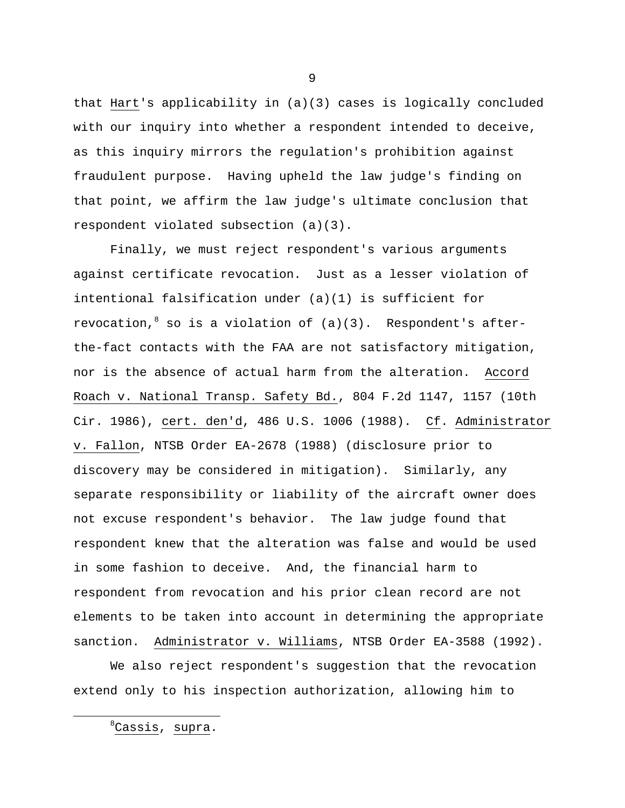that Hart's applicability in (a)(3) cases is logically concluded with our inquiry into whether a respondent intended to deceive, as this inquiry mirrors the regulation's prohibition against fraudulent purpose. Having upheld the law judge's finding on that point, we affirm the law judge's ultimate conclusion that respondent violated subsection (a)(3).

Finally, we must reject respondent's various arguments against certificate revocation. Just as a lesser violation of intentional falsification under (a)(1) is sufficient for revocation,  $8$  so is a violation of  $(a)(3)$ . Respondent's afterthe-fact contacts with the FAA are not satisfactory mitigation, nor is the absence of actual harm from the alteration. Accord Roach v. National Transp. Safety Bd., 804 F.2d 1147, 1157 (10th Cir. 1986), cert. den'd, 486 U.S. 1006 (1988). Cf. Administrator v. Fallon, NTSB Order EA-2678 (1988) (disclosure prior to discovery may be considered in mitigation). Similarly, any separate responsibility or liability of the aircraft owner does not excuse respondent's behavior. The law judge found that respondent knew that the alteration was false and would be used in some fashion to deceive. And, the financial harm to respondent from revocation and his prior clean record are not elements to be taken into account in determining the appropriate sanction. Administrator v. Williams, NTSB Order EA-3588 (1992).

We also reject respondent's suggestion that the revocation extend only to his inspection authorization, allowing him to

<sup>8</sup>Cassis, supra.

i